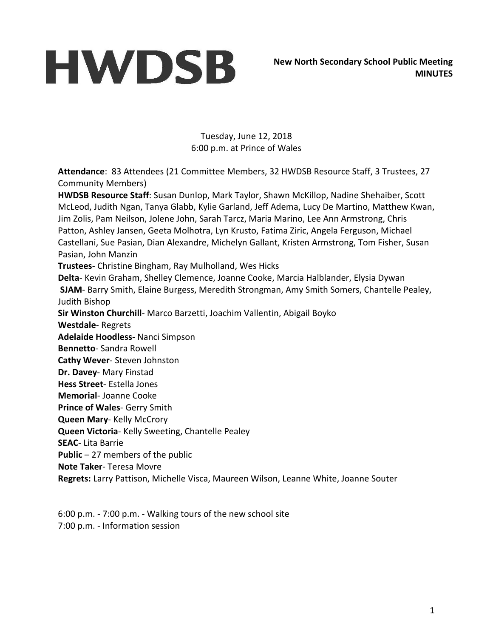Tuesday, June 12, 2018 6:00 p.m. at Prince of Wales

**Attendance**: 83 Attendees (21 Committee Members, 32 HWDSB Resource Staff, 3 Trustees, 27 Community Members)

**HWDSB Resource Staff**: Susan Dunlop, Mark Taylor, Shawn McKillop, Nadine Shehaiber, Scott McLeod, Judith Ngan, Tanya Glabb, Kylie Garland, Jeff Adema, Lucy De Martino, Matthew Kwan, Jim Zolis, Pam Neilson, Jolene John, Sarah Tarcz, Maria Marino, Lee Ann Armstrong, Chris Patton, Ashley Jansen, Geeta Molhotra, Lyn Krusto, Fatima Ziric, Angela Ferguson, Michael Castellani, Sue Pasian, Dian Alexandre, Michelyn Gallant, Kristen Armstrong, Tom Fisher, Susan Pasian, John Manzin **Trustees**- Christine Bingham, Ray Mulholland, Wes Hicks **Delta**- Kevin Graham, Shelley Clemence, Joanne Cooke, Marcia Halblander, Elysia Dywan **SJAM**- Barry Smith, Elaine Burgess, Meredith Strongman, Amy Smith Somers, Chantelle Pealey, Judith Bishop **Sir Winston Churchill**- Marco Barzetti, Joachim Vallentin, Abigail Boyko **Westdale**- Regrets **Adelaide Hoodless**- Nanci Simpson **Bennetto**- Sandra Rowell **Cathy Wever**- Steven Johnston **Dr. Davey**- Mary Finstad **Hess Street**- Estella Jones **Memorial**- Joanne Cooke **Prince of Wales**- Gerry Smith **Queen Mary**- Kelly McCrory **Queen Victoria**- Kelly Sweeting, Chantelle Pealey **SEAC**- Lita Barrie **Public** – 27 members of the public **Note Taker**- Teresa Movre **Regrets:** Larry Pattison, Michelle Visca, Maureen Wilson, Leanne White, Joanne Souter

6:00 p.m. - 7:00 p.m. - Walking tours of the new school site 7:00 p.m. - Information session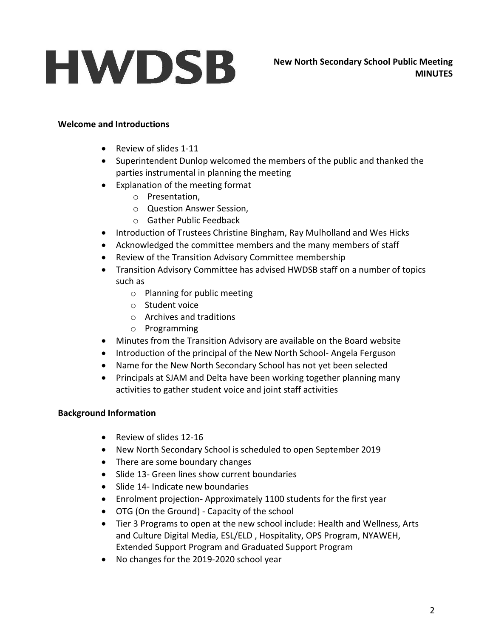### **Welcome and Introductions**

- Review of slides 1-11
- Superintendent Dunlop welcomed the members of the public and thanked the parties instrumental in planning the meeting
- Explanation of the meeting format
	- o Presentation,
	- o Question Answer Session,
	- o Gather Public Feedback
- Introduction of Trustees Christine Bingham, Ray Mulholland and Wes Hicks
- Acknowledged the committee members and the many members of staff
- Review of the Transition Advisory Committee membership
- Transition Advisory Committee has advised HWDSB staff on a number of topics such as
	- o Planning for public meeting
	- o Student voice
	- o Archives and traditions
	- o Programming
- Minutes from the Transition Advisory are available on the Board website
- Introduction of the principal of the New North School- Angela Ferguson
- Name for the New North Secondary School has not yet been selected
- Principals at SJAM and Delta have been working together planning many activities to gather student voice and joint staff activities

### **Background Information**

- Review of slides 12-16
- New North Secondary School is scheduled to open September 2019
- There are some boundary changes
- Slide 13- Green lines show current boundaries
- Slide 14- Indicate new boundaries
- Enrolment projection- Approximately 1100 students for the first year
- OTG (On the Ground) Capacity of the school
- Tier 3 Programs to open at the new school include: Health and Wellness, Arts and Culture Digital Media, ESL/ELD , Hospitality, OPS Program, NYAWEH, Extended Support Program and Graduated Support Program
- No changes for the 2019-2020 school year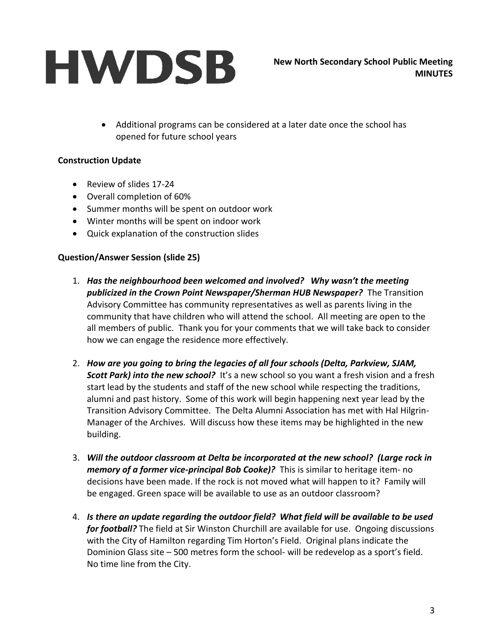Additional programs can be considered at a later date once the school has opened for future school years

### **Construction Update**

- Review of slides 17-24
- Overall completion of 60%
- Summer months will be spent on outdoor work
- Winter months will be spent on indoor work
- Quick explanation of the construction slides

### **Question/Answer Session (slide 25)**

- 1. *Has the neighbourhood been welcomed and involved? Why wasn't the meeting publicized in the Crown Point Newspaper/Sherman HUB Newspaper?* The Transition Advisory Committee has community representatives as well as parents living in the community that have children who will attend the school. All meeting are open to the all members of public. Thank you for your comments that we will take back to consider how we can engage the residence more effectively.
- 2. *How are you going to bring the legacies of all four schools (Delta, Parkview, SJAM,*  **Scott Park) into the new school?** It's a new school so you want a fresh vision and a fresh start lead by the students and staff of the new school while respecting the traditions, alumni and past history. Some of this work will begin happening next year lead by the Transition Advisory Committee. The Delta Alumni Association has met with Hal Hilgrin-Manager of the Archives. Will discuss how these items may be highlighted in the new building.
- 3. *Will the outdoor classroom at Delta be incorporated at the new school? (Large rock in memory of a former vice-principal Bob Cooke)?*This is similar to heritage item- no decisions have been made. If the rock is not moved what will happen to it? Family will be engaged. Green space will be available to use as an outdoor classroom?
- 4. *Is there an update regarding the outdoor field? What field will be available to be used for football?* The field at Sir Winston Churchill are available for use. Ongoing discussions with the City of Hamilton regarding Tim Horton's Field. Original plans indicate the Dominion Glass site – 500 metres form the school- will be redevelop as a sport's field. No time line from the City.